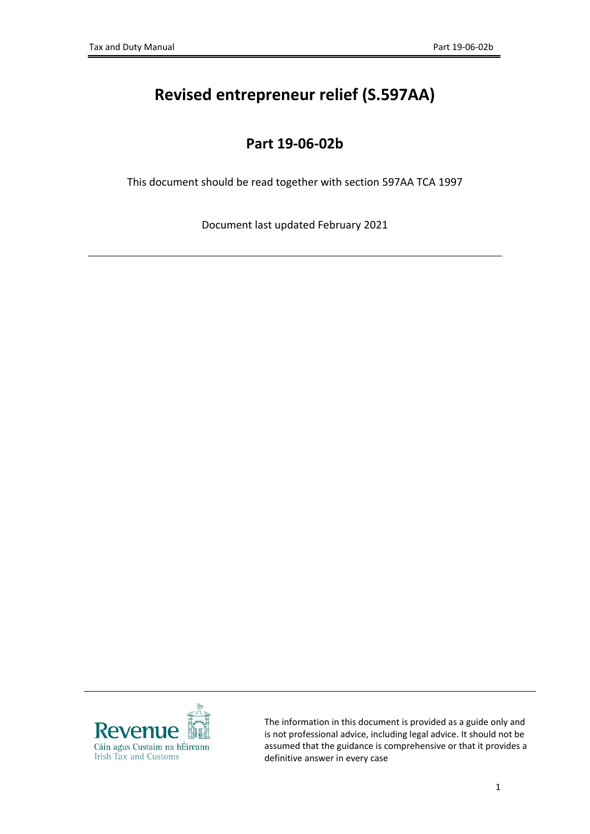# **Revised entrepreneur relief (S.597AA)**

## **Part 19-06-02b**

This document should be read together with section 597AA TCA 1997

Document last updated February 2021



The information in this document is provided as a guide only and is not professional advice, including legal advice. It should not be assumed that the guidance is comprehensive or that it provides a definitive answer in every case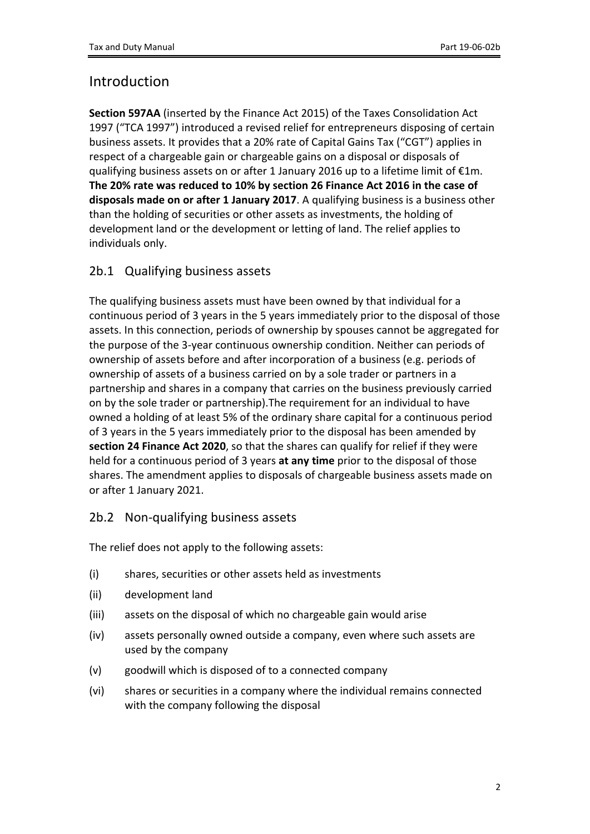## Introduction

**Section 597AA** (inserted by the Finance Act 2015) of the Taxes Consolidation Act 1997 ("TCA 1997") introduced a revised relief for entrepreneurs disposing of certain business assets. It provides that a 20% rate of Capital Gains Tax ("CGT") applies in respect of a chargeable gain or chargeable gains on a disposal or disposals of qualifying business assets on or after 1 January 2016 up to a lifetime limit of €1m. **The 20% rate was reduced to 10% by section 26 Finance Act 2016 in the case of disposals made on or after 1 January 2017**. A qualifying business is a business other than the holding of securities or other assets as investments, the holding of development land or the development or letting of land. The relief applies to individuals only.

## 2b.1 Qualifying business assets

The qualifying business assets must have been owned by that individual for a continuous period of 3 years in the 5 years immediately prior to the disposal of those assets. In this connection, periods of ownership by spouses cannot be aggregated for the purpose of the 3-year continuous ownership condition. Neither can periods of ownership of assets before and after incorporation of a business (e.g. periods of ownership of assets of a business carried on by a sole trader or partners in a partnership and shares in a company that carries on the business previously carried on by the sole trader or partnership).The requirement for an individual to have owned a holding of at least 5% of the ordinary share capital for a continuous period of 3 years in the 5 years immediately prior to the disposal has been amended by **section 24 Finance Act 2020**, so that the shares can qualify for relief if they were held for a continuous period of 3 years **at any time** prior to the disposal of those shares. The amendment applies to disposals of chargeable business assets made on or after 1 January 2021.

### 2b.2 Non-qualifying business assets

The relief does not apply to the following assets:

- (i) shares, securities or other assets held as investments
- (ii) development land
- (iii) assets on the disposal of which no chargeable gain would arise
- (iv) assets personally owned outside a company, even where such assets are used by the company
- (v) goodwill which is disposed of to a connected company
- (vi) shares or securities in a company where the individual remains connected with the company following the disposal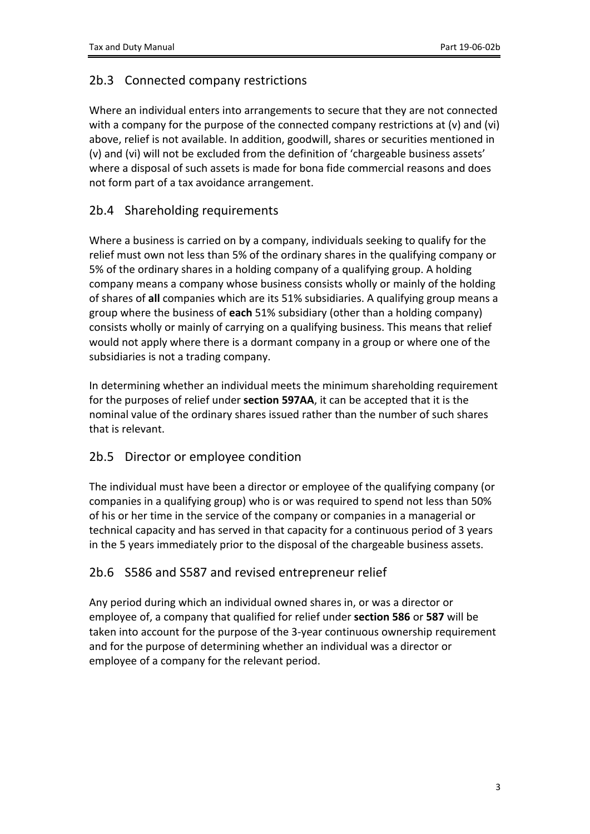## 2b.3 Connected company restrictions

Where an individual enters into arrangements to secure that they are not connected with a company for the purpose of the connected company restrictions at (v) and (vi) above, relief is not available. In addition, goodwill, shares or securities mentioned in (v) and (vi) will not be excluded from the definition of 'chargeable business assets' where a disposal of such assets is made for bona fide commercial reasons and does not form part of a tax avoidance arrangement.

## 2b.4 Shareholding requirements

Where a business is carried on by a company, individuals seeking to qualify for the relief must own not less than 5% of the ordinary shares in the qualifying company or 5% of the ordinary shares in a holding company of a qualifying group. A holding company means a company whose business consists wholly or mainly of the holding of shares of **all** companies which are its 51% subsidiaries. A qualifying group means a group where the business of **each** 51% subsidiary (other than a holding company) consists wholly or mainly of carrying on a qualifying business. This means that relief would not apply where there is a dormant company in a group or where one of the subsidiaries is not a trading company.

In determining whether an individual meets the minimum shareholding requirement for the purposes of relief under **section 597AA**, it can be accepted that it is the nominal value of the ordinary shares issued rather than the number of such shares that is relevant.

### 2b.5 Director or employee condition

The individual must have been a director or employee of the qualifying company (or companies in a qualifying group) who is or was required to spend not less than 50% of his or her time in the service of the company or companies in a managerial or technical capacity and has served in that capacity for a continuous period of 3 years in the 5 years immediately prior to the disposal of the chargeable business assets.

### 2b.6 S586 and S587 and revised entrepreneur relief

Any period during which an individual owned shares in, or was a director or employee of, a company that qualified for relief under **section 586** or **587** will be taken into account for the purpose of the 3-year continuous ownership requirement and for the purpose of determining whether an individual was a director or employee of a company for the relevant period.